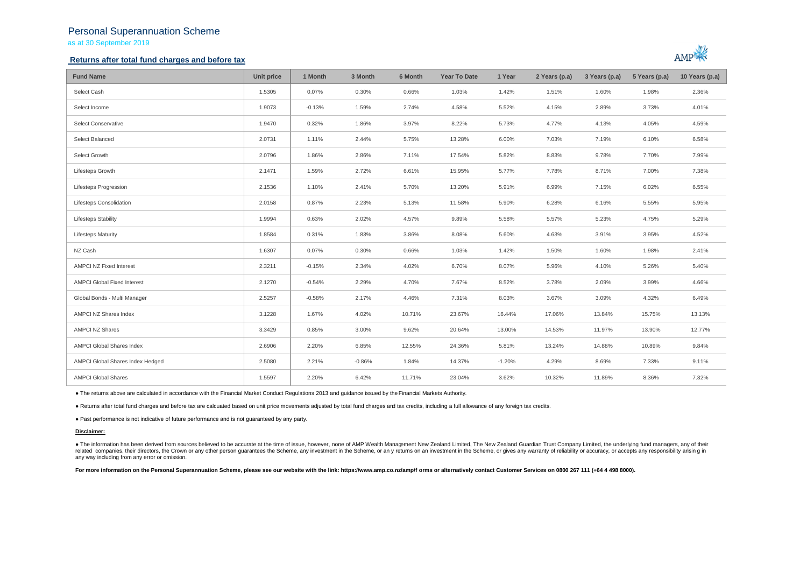## Personal Superannuation Scheme

as at 30 September 2019

## **Returns after total fund charges and before tax**



| <b>Fund Name</b>                   | Unit price | 1 Month  | 3 Month  | 6 Month | <b>Year To Date</b> | 1 Year   | 2 Years (p.a) | 3 Years (p.a) | 5 Years (p.a) | 10 Years (p.a) |
|------------------------------------|------------|----------|----------|---------|---------------------|----------|---------------|---------------|---------------|----------------|
| Select Cash                        | 1.5305     | 0.07%    | 0.30%    | 0.66%   | 1.03%               | 1.42%    | 1.51%         | 1.60%         | 1.98%         | 2.36%          |
| Select Income                      | 1.9073     | $-0.13%$ | 1.59%    | 2.74%   | 4.58%               | 5.52%    | 4.15%         | 2.89%         | 3.73%         | 4.01%          |
| Select Conservative                | 1.9470     | 0.32%    | 1.86%    | 3.97%   | 8.22%               | 5.73%    | 4.77%         | 4.13%         | 4.05%         | 4.59%          |
| Select Balanced                    | 2.0731     | 1.11%    | 2.44%    | 5.75%   | 13.28%              | 6.00%    | 7.03%         | 7.19%         | 6.10%         | 6.58%          |
| Select Growth                      | 2.0796     | 1.86%    | 2.86%    | 7.11%   | 17.54%              | 5.82%    | 8.83%         | 9.78%         | 7.70%         | 7.99%          |
| Lifesteps Growth                   | 2.1471     | 1.59%    | 2.72%    | 6.61%   | 15.95%              | 5.77%    | 7.78%         | 8.71%         | 7.00%         | 7.38%          |
| <b>Lifesteps Progression</b>       | 2.1536     | 1.10%    | 2.41%    | 5.70%   | 13.20%              | 5.91%    | 6.99%         | 7.15%         | 6.02%         | 6.55%          |
| Lifesteps Consolidation            | 2.0158     | 0.87%    | 2.23%    | 5.13%   | 11.58%              | 5.90%    | 6.28%         | 6.16%         | 5.55%         | 5.95%          |
| <b>Lifesteps Stability</b>         | 1.9994     | 0.63%    | 2.02%    | 4.57%   | 9.89%               | 5.58%    | 5.57%         | 5.23%         | 4.75%         | 5.29%          |
| <b>Lifesteps Maturity</b>          | 1.8584     | 0.31%    | 1.83%    | 3.86%   | 8.08%               | 5.60%    | 4.63%         | 3.91%         | 3.95%         | 4.52%          |
| NZ Cash                            | 1.6307     | 0.07%    | 0.30%    | 0.66%   | 1.03%               | 1.42%    | 1.50%         | 1.60%         | 1.98%         | 2.41%          |
| <b>AMPCI NZ Fixed Interest</b>     | 2.3211     | $-0.15%$ | 2.34%    | 4.02%   | 6.70%               | 8.07%    | 5.96%         | 4.10%         | 5.26%         | 5.40%          |
| <b>AMPCI Global Fixed Interest</b> | 2.1270     | $-0.54%$ | 2.29%    | 4.70%   | 7.67%               | 8.52%    | 3.78%         | 2.09%         | 3.99%         | 4.66%          |
| Global Bonds - Multi Manager       | 2.5257     | $-0.58%$ | 2.17%    | 4.46%   | 7.31%               | 8.03%    | 3.67%         | 3.09%         | 4.32%         | 6.49%          |
| AMPCI NZ Shares Index              | 3.1228     | 1.67%    | 4.02%    | 10.71%  | 23.67%              | 16.44%   | 17.06%        | 13.84%        | 15.75%        | 13.13%         |
| <b>AMPCI NZ Shares</b>             | 3.3429     | 0.85%    | 3.00%    | 9.62%   | 20.64%              | 13.00%   | 14.53%        | 11.97%        | 13.90%        | 12.77%         |
| AMPCI Global Shares Index          | 2.6906     | 2.20%    | 6.85%    | 12.55%  | 24.36%              | 5.81%    | 13.24%        | 14.88%        | 10.89%        | 9.84%          |
| AMPCI Global Shares Index Hedged   | 2.5080     | 2.21%    | $-0.86%$ | 1.84%   | 14.37%              | $-1.20%$ | 4.29%         | 8.69%         | 7.33%         | 9.11%          |
| <b>AMPCI Global Shares</b>         | 1.5597     | 2.20%    | 6.42%    | 11.71%  | 23.04%              | 3.62%    | 10.32%        | 11.89%        | 8.36%         | 7.32%          |

● The returns above are calculated in accordance with the Financial Market Conduct Regulations 2013 and guidance issued by the Financial Markets Authority.

● Returns after total fund charges and before tax are calcuated based on unit price movements adjusted by total fund charges and tax credits, including a full allowance of any foreign tax credits.

● Past performance is not indicative of future performance and is not guaranteed by any party.

### **Disclaimer:**

. The information has been derived from sources believed to be accurate at the time of issue, however, none of AMP Wealth Management New Zealand Limited, The New Zealand Guardian Trust Company Limited, the underlying fund related companies, their directors, the Crown or any other person quarantees the Scheme, any investment in the Scheme, or any returns on an investment in the Scheme, or gives any warranty of reliability or accuracy, or acc any way including from any error or omission.

For more information on the Personal Superannuation Scheme, please see our website with the link: https://www.amp.co.nz/amp/f orms or alternatively contact Customer Services on 0800 267 111 (+64 4 498 8000).